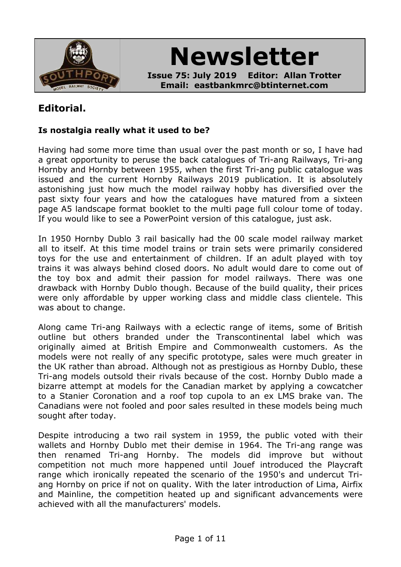

**Newsletter**

**Issue 75: July 2019 Editor: Allan Trotter Email: eastbankmrc@btinternet.com**

# **Editorial.**

## **Is nostalgia really what it used to be?**

Having had some more time than usual over the past month or so, I have had a great opportunity to peruse the back catalogues of Tri-ang Railways, Tri-ang Hornby and Hornby between 1955, when the first Tri-ang public catalogue was issued and the current Hornby Railways 2019 publication. It is absolutely astonishing just how much the model railway hobby has diversified over the past sixty four years and how the catalogues have matured from a sixteen page A5 landscape format booklet to the multi page full colour tome of today. If you would like to see a PowerPoint version of this catalogue, just ask.

In 1950 Hornby Dublo 3 rail basically had the 00 scale model railway market all to itself. At this time model trains or train sets were primarily considered toys for the use and entertainment of children. If an adult played with toy trains it was always behind closed doors. No adult would dare to come out of the toy box and admit their passion for model railways. There was one drawback with Hornby Dublo though. Because of the build quality, their prices were only affordable by upper working class and middle class clientele. This was about to change.

Along came Tri-ang Railways with a eclectic range of items, some of British outline but others branded under the Transcontinental label which was originally aimed at British Empire and Commonwealth customers. As the models were not really of any specific prototype, sales were much greater in the UK rather than abroad. Although not as prestigious as Hornby Dublo, these Tri-ang models outsold their rivals because of the cost. Hornby Dublo made a bizarre attempt at models for the Canadian market by applying a cowcatcher to a Stanier Coronation and a roof top cupola to an ex LMS brake van. The Canadians were not fooled and poor sales resulted in these models being much sought after today.

Despite introducing a two rail system in 1959, the public voted with their wallets and Hornby Dublo met their demise in 1964. The Tri-ang range was then renamed Tri-ang Hornby. The models did improve but without competition not much more happened until Jouef introduced the Playcraft range which ironically repeated the scenario of the 1950's and undercut Triang Hornby on price if not on quality. With the later introduction of Lima, Airfix and Mainline, the competition heated up and significant advancements were achieved with all the manufacturers' models.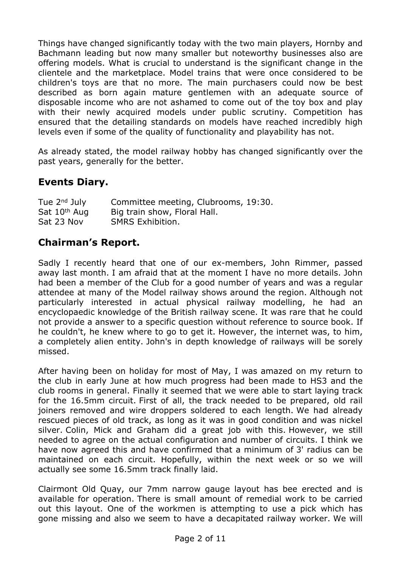Things have changed significantly today with the two main players, Hornby and Bachmann leading but now many smaller but noteworthy businesses also are offering models. What is crucial to understand is the significant change in the clientele and the marketplace. Model trains that were once considered to be children's toys are that no more. The main purchasers could now be best described as born again mature gentlemen with an adequate source of disposable income who are not ashamed to come out of the toy box and play with their newly acquired models under public scrutiny. Competition has ensured that the detailing standards on models have reached incredibly high levels even if some of the quality of functionality and playability has not.

As already stated, the model railway hobby has changed significantly over the past years, generally for the better.

# **Events Diary.**

| Tue $2^{nd}$ July        | Committee meeting, Clubrooms, 19:30. |
|--------------------------|--------------------------------------|
| Sat 10 <sup>th</sup> Aug | Big train show, Floral Hall.         |
| Sat 23 Nov               | <b>SMRS Exhibition.</b>              |

## **Chairman's Report.**

Sadly I recently heard that one of our ex-members, John Rimmer, passed away last month. I am afraid that at the moment I have no more details. John had been a member of the Club for a good number of years and was a regular attendee at many of the Model railway shows around the region. Although not particularly interested in actual physical railway modelling, he had an encyclopaedic knowledge of the British railway scene. It was rare that he could not provide a answer to a specific question without reference to source book. If he couldn't, he knew where to go to get it. However, the internet was, to him, a completely alien entity. John's in depth knowledge of railways will be sorely missed.

After having been on holiday for most of May, I was amazed on my return to the club in early June at how much progress had been made to HS3 and the club rooms in general. Finally it seemed that we were able to start laying track for the 16.5mm circuit. First of all, the track needed to be prepared, old rail joiners removed and wire droppers soldered to each length. We had already rescued pieces of old track, as long as it was in good condition and was nickel silver. Colin, Mick and Graham did a great job with this. However, we still needed to agree on the actual configuration and number of circuits. I think we have now agreed this and have confirmed that a minimum of 3' radius can be maintained on each circuit. Hopefully, within the next week or so we will actually see some 16.5mm track finally laid.

Clairmont Old Quay, our 7mm narrow gauge layout has bee erected and is available for operation. There is small amount of remedial work to be carried out this layout. One of the workmen is attempting to use a pick which has gone missing and also we seem to have a decapitated railway worker. We will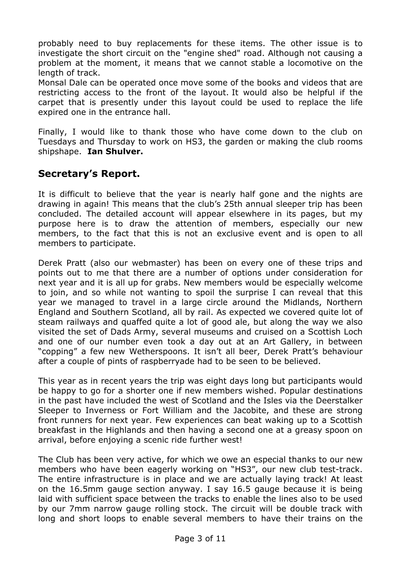probably need to buy replacements for these items. The other issue is to investigate the short circuit on the "engine shed" road. Although not causing a problem at the moment, it means that we cannot stable a locomotive on the length of track.

Monsal Dale can be operated once move some of the books and videos that are restricting access to the front of the layout. It would also be helpful if the carpet that is presently under this layout could be used to replace the life expired one in the entrance hall.

Finally, I would like to thank those who have come down to the club on Tuesdays and Thursday to work on HS3, the garden or making the club rooms shipshape. **Ian Shulver.**

# **Secretary's Report.**

It is difficult to believe that the year is nearly half gone and the nights are drawing in again! This means that the club's 25th annual sleeper trip has been concluded. The detailed account will appear elsewhere in its pages, but my purpose here is to draw the attention of members, especially our new members, to the fact that this is not an exclusive event and is open to all members to participate.

Derek Pratt (also our webmaster) has been on every one of these trips and points out to me that there are a number of options under consideration for next year and it is all up for grabs. New members would be especially welcome to join, and so while not wanting to spoil the surprise I can reveal that this year we managed to travel in a large circle around the Midlands, Northern England and Southern Scotland, all by rail. As expected we covered quite lot of steam railways and quaffed quite a lot of good ale, but along the way we also visited the set of Dads Army, several museums and cruised on a Scottish Loch and one of our number even took a day out at an Art Gallery, in between "copping" a few new Wetherspoons. It isn't all beer, Derek Pratt's behaviour after a couple of pints of raspberryade had to be seen to be believed.

This year as in recent years the trip was eight days long but participants would be happy to go for a shorter one if new members wished. Popular destinations in the past have included the west of Scotland and the Isles via the Deerstalker Sleeper to Inverness or Fort William and the Jacobite, and these are strong front runners for next year. Few experiences can beat waking up to a Scottish breakfast in the Highlands and then having a second one at a greasy spoon on arrival, before enjoying a scenic ride further west!

The Club has been very active, for which we owe an especial thanks to our new members who have been eagerly working on "HS3", our new club test-track. The entire infrastructure is in place and we are actually laying track! At least on the 16.5mm gauge section anyway. I say 16.5 gauge because it is being laid with sufficient space between the tracks to enable the lines also to be used by our 7mm narrow gauge rolling stock. The circuit will be double track with long and short loops to enable several members to have their trains on the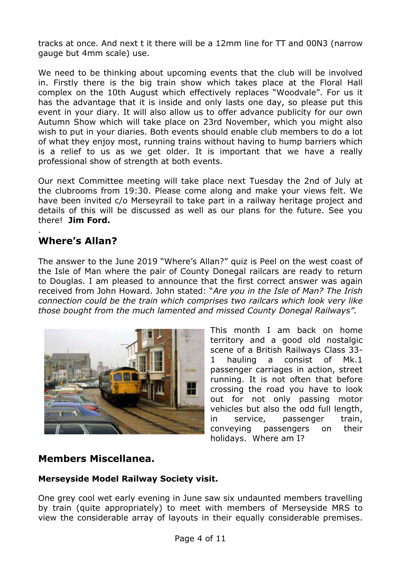tracks at once. And next t it there will be a 12mm line for TT and 00N3 (narrow gauge but 4mm scale) use.

We need to be thinking about upcoming events that the club will be involved in. Firstly there is the big train show which takes place at the Floral Hall complex on the 10th August which effectively replaces "Woodvale". For us it has the advantage that it is inside and only lasts one day, so please put this event in your diary. It will also allow us to offer advance publicity for our own Autumn Show which will take place on 23rd November, which you might also wish to put in your diaries. Both events should enable club members to do a lot of what they enjoy most, running trains without having to hump barriers which is a relief to us as we get older. It is important that we have a really professional show of strength at both events.

Our next Committee meeting will take place next Tuesday the 2nd of July at the clubrooms from 19:30. Please come along and make your views felt. We have been invited c/o Merseyrail to take part in a railway heritage project and details of this will be discussed as well as our plans for the future. See you there! **Jim Ford.**

#### . **Where's Allan?**

The answer to the June 2019 "Where's Allan?" quiz is Peel on the west coast of the Isle of Man where the pair of County Donegal railcars are ready to return to Douglas. I am pleased to announce that the first correct answer was again received from John Howard. John stated: "*Are you in the Isle of Man? The Irish connection could be the train which comprises two railcars which look very like those bought from the much lamented and missed County Donegal Railways".*



This month I am back on home territory and a good old nostalgic scene of a British Railways Class 33- 1 hauling a consist of Mk.1 passenger carriages in action, street running. It is not often that before crossing the road you have to look out for not only passing motor vehicles but also the odd full length, in service, passenger train, conveying passengers on their holidays. Where am I?

## **Members Miscellanea.**

### **Merseyside Model Railway Society visit.**

One grey cool wet early evening in June saw six undaunted members travelling by train (quite appropriately) to meet with members of Merseyside MRS to view the considerable array of layouts in their equally considerable premises.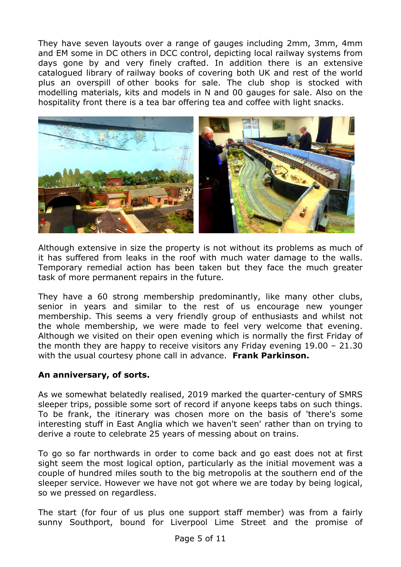They have seven layouts over a range of gauges including 2mm, 3mm, 4mm and EM some in DC others in DCC control, depicting local railway systems from days gone by and very finely crafted. In addition there is an extensive catalogued library of railway books of covering both UK and rest of the world plus an overspill of other books for sale. The club shop is stocked with modelling materials, kits and models in N and 00 gauges for sale. Also on the hospitality front there is a tea bar offering tea and coffee with light snacks.



Although extensive in size the property is not without its problems as much of it has suffered from leaks in the roof with much water damage to the walls. Temporary remedial action has been taken but they face the much greater task of more permanent repairs in the future.

They have a 60 strong membership predominantly, like many other clubs, senior in years and similar to the rest of us encourage new younger membership. This seems a very friendly group of enthusiasts and whilst not the whole membership, we were made to feel very welcome that evening. Although we visited on their open evening which is normally the first Friday of the month they are happy to receive visitors any Friday evening 19.00 – 21.30 with the usual courtesy phone call in advance. **Frank Parkinson.**

### **An anniversary, of sorts.**

As we somewhat belatedly realised, 2019 marked the quarter-century of SMRS sleeper trips, possible some sort of record if anyone keeps tabs on such things. To be frank, the itinerary was chosen more on the basis of 'there's some interesting stuff in East Anglia which we haven't seen' rather than on trying to derive a route to celebrate 25 years of messing about on trains.

To go so far northwards in order to come back and go east does not at first sight seem the most logical option, particularly as the initial movement was a couple of hundred miles south to the big metropolis at the southern end of the sleeper service. However we have not got where we are today by being logical, so we pressed on regardless.

The start (for four of us plus one support staff member) was from a fairly sunny Southport, bound for Liverpool Lime Street and the promise of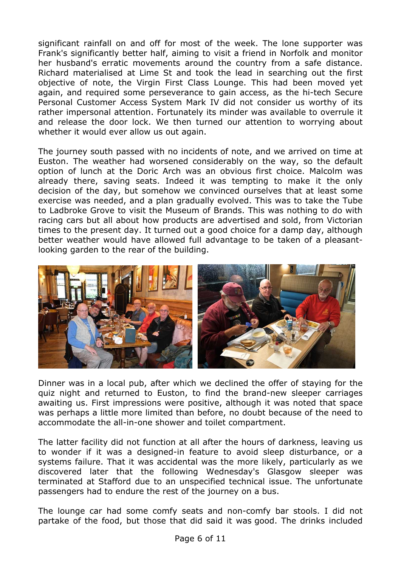significant rainfall on and off for most of the week. The lone supporter was Frank's significantly better half, aiming to visit a friend in Norfolk and monitor her husband's erratic movements around the country from a safe distance. Richard materialised at Lime St and took the lead in searching out the first objective of note, the Virgin First Class Lounge. This had been moved yet again, and required some perseverance to gain access, as the hi-tech Secure Personal Customer Access System Mark IV did not consider us worthy of its rather impersonal attention. Fortunately its minder was available to overrule it and release the door lock. We then turned our attention to worrying about whether it would ever allow us out again.

The journey south passed with no incidents of note, and we arrived on time at Euston. The weather had worsened considerably on the way, so the default option of lunch at the Doric Arch was an obvious first choice. Malcolm was already there, saving seats. Indeed it was tempting to make it the only decision of the day, but somehow we convinced ourselves that at least some exercise was needed, and a plan gradually evolved. This was to take the Tube to Ladbroke Grove to visit the Museum of Brands. This was nothing to do with racing cars but all about how products are advertised and sold, from Victorian times to the present day. It turned out a good choice for a damp day, although better weather would have allowed full advantage to be taken of a pleasantlooking garden to the rear of the building.



Dinner was in a local pub, after which we declined the offer of staying for the quiz night and returned to Euston, to find the brand-new sleeper carriages awaiting us. First impressions were positive, although it was noted that space was perhaps a little more limited than before, no doubt because of the need to accommodate the all-in-one shower and toilet compartment.

The latter facility did not function at all after the hours of darkness, leaving us to wonder if it was a designed-in feature to avoid sleep disturbance, or a systems failure. That it was accidental was the more likely, particularly as we discovered later that the following Wednesday's Glasgow sleeper was terminated at Stafford due to an unspecified technical issue. The unfortunate passengers had to endure the rest of the journey on a bus.

The lounge car had some comfy seats and non-comfy bar stools. I did not partake of the food, but those that did said it was good. The drinks included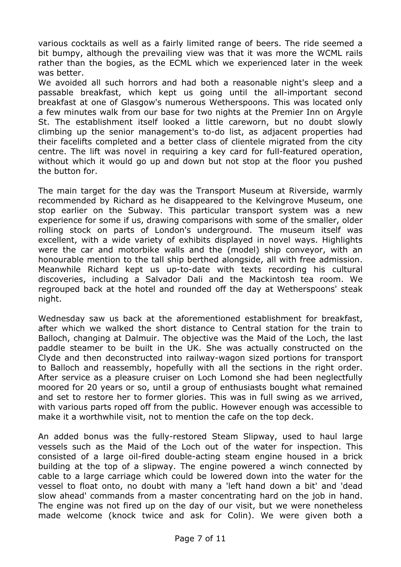various cocktails as well as a fairly limited range of beers. The ride seemed a bit bumpy, although the prevailing view was that it was more the WCML rails rather than the bogies, as the ECML which we experienced later in the week was better.

We avoided all such horrors and had both a reasonable night's sleep and a passable breakfast, which kept us going until the all-important second breakfast at one of Glasgow's numerous Wetherspoons. This was located only a few minutes walk from our base for two nights at the Premier Inn on Argyle St. The establishment itself looked a little careworn, but no doubt slowly climbing up the senior management's to-do list, as adjacent properties had their facelifts completed and a better class of clientele migrated from the city centre. The lift was novel in requiring a key card for full-featured operation, without which it would go up and down but not stop at the floor you pushed the button for.

The main target for the day was the Transport Museum at Riverside, warmly recommended by Richard as he disappeared to the Kelvingrove Museum, one stop earlier on the Subway. This particular transport system was a new experience for some if us, drawing comparisons with some of the smaller, older rolling stock on parts of London's underground. The museum itself was excellent, with a wide variety of exhibits displayed in novel ways. Highlights were the car and motorbike walls and the (model) ship conveyor, with an honourable mention to the tall ship berthed alongside, all with free admission. Meanwhile Richard kept us up-to-date with texts recording his cultural discoveries, including a Salvador Dali and the Mackintosh tea room. We regrouped back at the hotel and rounded off the day at Wetherspoons' steak night.

Wednesday saw us back at the aforementioned establishment for breakfast, after which we walked the short distance to Central station for the train to Balloch, changing at Dalmuir. The objective was the Maid of the Loch, the last paddle steamer to be built in the UK. She was actually constructed on the Clyde and then deconstructed into railway-wagon sized portions for transport to Balloch and reassembly, hopefully with all the sections in the right order. After service as a pleasure cruiser on Loch Lomond she had been neglectfully moored for 20 years or so, until a group of enthusiasts bought what remained and set to restore her to former glories. This was in full swing as we arrived, with various parts roped off from the public. However enough was accessible to make it a worthwhile visit, not to mention the cafe on the top deck.

An added bonus was the fully-restored Steam Slipway, used to haul large vessels such as the Maid of the Loch out of the water for inspection. This consisted of a large oil-fired double-acting steam engine housed in a brick building at the top of a slipway. The engine powered a winch connected by cable to a large carriage which could be lowered down into the water for the vessel to float onto, no doubt with many a 'left hand down a bit' and 'dead slow ahead' commands from a master concentrating hard on the job in hand. The engine was not fired up on the day of our visit, but we were nonetheless made welcome (knock twice and ask for Colin). We were given both a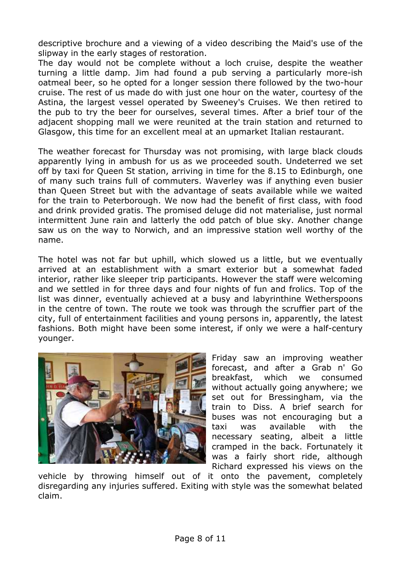descriptive brochure and a viewing of a video describing the Maid's use of the slipway in the early stages of restoration.

The day would not be complete without a loch cruise, despite the weather turning a little damp. Jim had found a pub serving a particularly more-ish oatmeal beer, so he opted for a longer session there followed by the two-hour cruise. The rest of us made do with just one hour on the water, courtesy of the Astina, the largest vessel operated by Sweeney's Cruises. We then retired to the pub to try the beer for ourselves, several times. After a brief tour of the adiacent shopping mall we were reunited at the train station and returned to Glasgow, this time for an excellent meal at an upmarket Italian restaurant.

The weather forecast for Thursday was not promising, with large black clouds apparently lying in ambush for us as we proceeded south. Undeterred we set off by taxi for Queen St station, arriving in time for the 8.15 to Edinburgh, one of many such trains full of commuters. Waverley was if anything even busier than Queen Street but with the advantage of seats available while we waited for the train to Peterborough. We now had the benefit of first class, with food and drink provided gratis. The promised deluge did not materialise, just normal intermittent June rain and latterly the odd patch of blue sky. Another change saw us on the way to Norwich, and an impressive station well worthy of the name.

The hotel was not far but uphill, which slowed us a little, but we eventually arrived at an establishment with a smart exterior but a somewhat faded interior, rather like sleeper trip participants. However the staff were welcoming and we settled in for three days and four nights of fun and frolics. Top of the list was dinner, eventually achieved at a busy and labyrinthine Wetherspoons in the centre of town. The route we took was through the scruffier part of the city, full of entertainment facilities and young persons in, apparently, the latest fashions. Both might have been some interest, if only we were a half-century younger.



Friday saw an improving weather forecast, and after a Grab n' Go breakfast, which we consumed without actually going anywhere; we set out for Bressingham, via the train to Diss. A brief search for buses was not encouraging but a taxi was available with the necessary seating, albeit a little cramped in the back. Fortunately it was a fairly short ride, although Richard expressed his views on the

vehicle by throwing himself out of it onto the pavement, completely disregarding any injuries suffered. Exiting with style was the somewhat belated claim.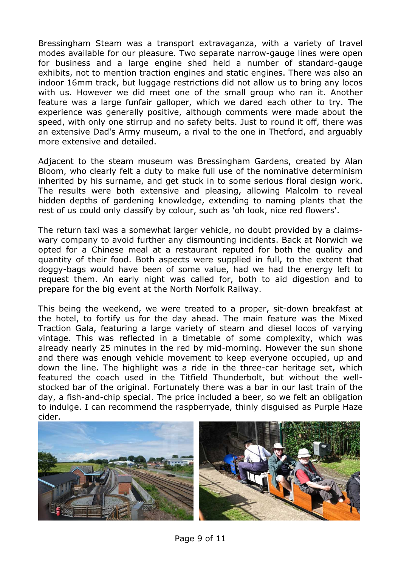Bressingham Steam was a transport extravaganza, with a variety of travel modes available for our pleasure. Two separate narrow-gauge lines were open for business and a large engine shed held a number of standard-gauge exhibits, not to mention traction engines and static engines. There was also an indoor 16mm track, but luggage restrictions did not allow us to bring any locos with us. However we did meet one of the small group who ran it. Another feature was a large funfair galloper, which we dared each other to try. The experience was generally positive, although comments were made about the speed, with only one stirrup and no safety belts. Just to round it off, there was an extensive Dad's Army museum, a rival to the one in Thetford, and arguably more extensive and detailed.

Adjacent to the steam museum was Bressingham Gardens, created by Alan Bloom, who clearly felt a duty to make full use of the nominative determinism inherited by his surname, and get stuck in to some serious floral design work. The results were both extensive and pleasing, allowing Malcolm to reveal hidden depths of gardening knowledge, extending to naming plants that the rest of us could only classify by colour, such as 'oh look, nice red flowers'.

The return taxi was a somewhat larger vehicle, no doubt provided by a claimswary company to avoid further any dismounting incidents. Back at Norwich we opted for a Chinese meal at a restaurant reputed for both the quality and quantity of their food. Both aspects were supplied in full, to the extent that doggy-bags would have been of some value, had we had the energy left to request them. An early night was called for, both to aid digestion and to prepare for the big event at the North Norfolk Railway.

This being the weekend, we were treated to a proper, sit-down breakfast at the hotel, to fortify us for the day ahead. The main feature was the Mixed Traction Gala, featuring a large variety of steam and diesel locos of varying vintage. This was reflected in a timetable of some complexity, which was already nearly 25 minutes in the red by mid-morning. However the sun shone and there was enough vehicle movement to keep everyone occupied, up and down the line. The highlight was a ride in the three-car heritage set, which featured the coach used in the Titfield Thunderbolt, but without the wellstocked bar of the original. Fortunately there was a bar in our last train of the day, a fish-and-chip special. The price included a beer, so we felt an obligation to indulge. I can recommend the raspberryade, thinly disguised as Purple Haze cider.

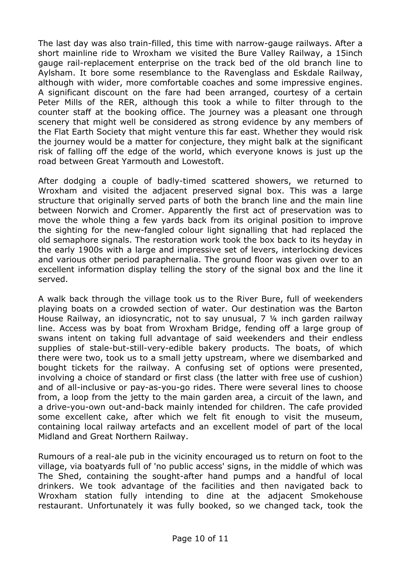The last day was also train-filled, this time with narrow-gauge railways. After a short mainline ride to Wroxham we visited the Bure Valley Railway, a 15inch gauge rail-replacement enterprise on the track bed of the old branch line to Aylsham. It bore some resemblance to the Ravenglass and Eskdale Railway, although with wider, more comfortable coaches and some impressive engines. A significant discount on the fare had been arranged, courtesy of a certain Peter Mills of the RER, although this took a while to filter through to the counter staff at the booking office. The journey was a pleasant one through scenery that might well be considered as strong evidence by any members of the Flat Earth Society that might venture this far east. Whether they would risk the journey would be a matter for conjecture, they might balk at the significant risk of falling off the edge of the world, which everyone knows is just up the road between Great Yarmouth and Lowestoft.

After dodging a couple of badly-timed scattered showers, we returned to Wroxham and visited the adjacent preserved signal box. This was a large structure that originally served parts of both the branch line and the main line between Norwich and Cromer. Apparently the first act of preservation was to move the whole thing a few yards back from its original position to improve the sighting for the new-fangled colour light signalling that had replaced the old semaphore signals. The restoration work took the box back to its heyday in the early 1900s with a large and impressive set of levers, interlocking devices and various other period paraphernalia. The ground floor was given over to an excellent information display telling the story of the signal box and the line it served.

A walk back through the village took us to the River Bure, full of weekenders playing boats on a crowded section of water. Our destination was the Barton House Railway, an idiosyncratic, not to say unusual, 7 ¼ inch garden railway line. Access was by boat from Wroxham Bridge, fending off a large group of swans intent on taking full advantage of said weekenders and their endless supplies of stale-but-still-very-edible bakery products. The boats, of which there were two, took us to a small jetty upstream, where we disembarked and bought tickets for the railway. A confusing set of options were presented, involving a choice of standard or first class (the latter with free use of cushion) and of all-inclusive or pay-as-you-go rides. There were several lines to choose from, a loop from the jetty to the main garden area, a circuit of the lawn, and a drive-you-own out-and-back mainly intended for children. The cafe provided some excellent cake, after which we felt fit enough to visit the museum, containing local railway artefacts and an excellent model of part of the local Midland and Great Northern Railway.

Rumours of a real-ale pub in the vicinity encouraged us to return on foot to the village, via boatyards full of 'no public access' signs, in the middle of which was The Shed, containing the sought-after hand pumps and a handful of local drinkers. We took advantage of the facilities and then navigated back to Wroxham station fully intending to dine at the adjacent Smokehouse restaurant. Unfortunately it was fully booked, so we changed tack, took the